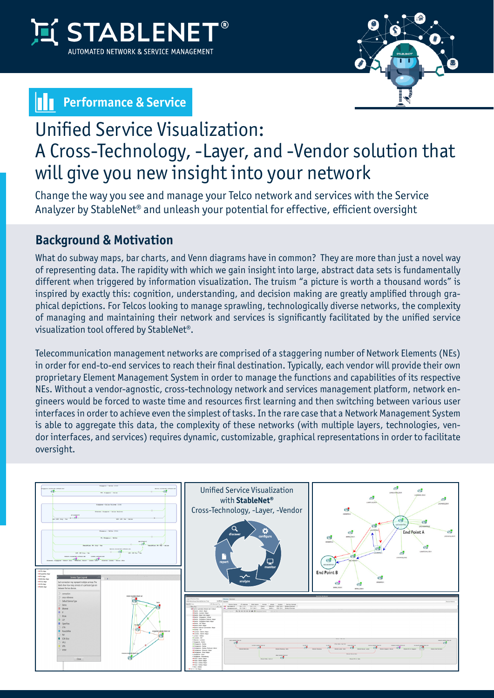

## **Parage & Service**



# Unified Service Visualization: A Cross-Technology, -Layer, and -Vendor solution that will give you new insight into your network

Change the way you see and manage your Telco network and services with the Service Analyzer by StableNet® and unleash your potential for effective, efficient oversight

### **Background & Motivation**

What do subway maps, bar charts, and Venn diagrams have in common? They are more than just a novel way of representing data. The rapidity with which we gain insight into large, abstract data sets is fundamentally different when triggered by information visualization. The truism "a picture is worth a thousand words" is inspired by exactly this: cognition, understanding, and decision making are greatly amplified through graphical depictions. For Telcos looking to manage sprawling, technologically diverse networks, the complexity of managing and maintaining their network and services is significantly facilitated by the unified service visualization tool offered by StableNet®.

Telecommunication management networks are comprised of a staggering number of Network Elements (NEs) in order for end-to-end services to reach their final destination. Typically, each vendor will provide their own proprietary Element Management System in order to manage the functions and capabilities of its respective NEs. Without a vendor-agnostic, cross-technology network and services management platform, network engineers would be forced to waste time and resources first learning and then switching between various user interfaces in order to achieve even the simplest of tasks. In the rare case that a Network Management System is able to aggregate this data, the complexity of these networks (with multiple layers, technologies, vendor interfaces, and services) requires dynamic, customizable, graphical representations in order to facilitate oversight.